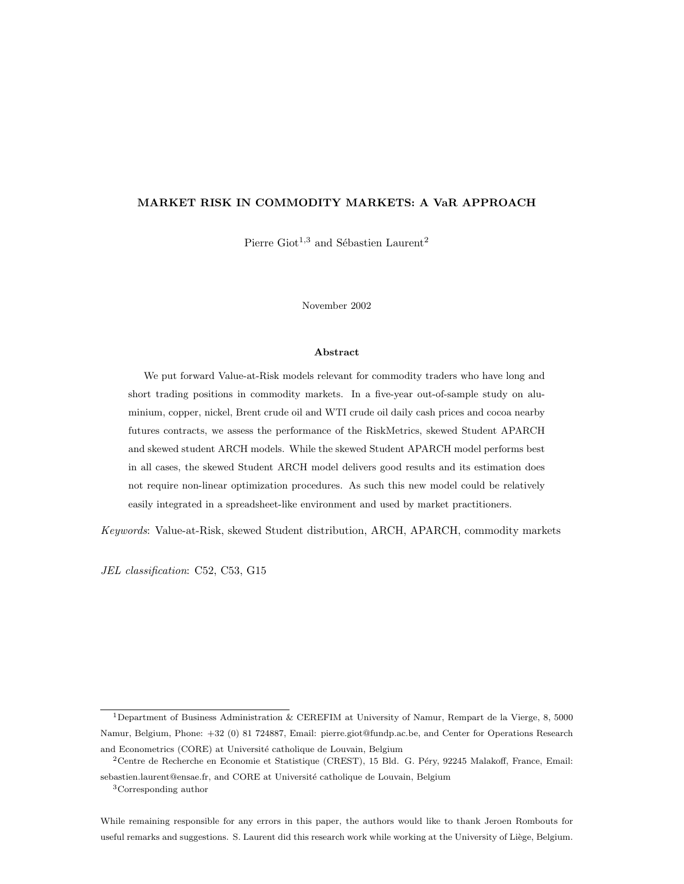### MARKET RISK IN COMMODITY MARKETS: A VaR APPROACH

Pierre Giot<sup>1,3</sup> and Sébastien Laurent<sup>2</sup>

November 2002

#### Abstract

We put forward Value-at-Risk models relevant for commodity traders who have long and short trading positions in commodity markets. In a five-year out-of-sample study on aluminium, copper, nickel, Brent crude oil and WTI crude oil daily cash prices and cocoa nearby futures contracts, we assess the performance of the RiskMetrics, skewed Student APARCH and skewed student ARCH models. While the skewed Student APARCH model performs best in all cases, the skewed Student ARCH model delivers good results and its estimation does not require non-linear optimization procedures. As such this new model could be relatively easily integrated in a spreadsheet-like environment and used by market practitioners.

Keywords: Value-at-Risk, skewed Student distribution, ARCH, APARCH, commodity markets

JEL classification: C52, C53, G15

While remaining responsible for any errors in this paper, the authors would like to thank Jeroen Rombouts for useful remarks and suggestions. S. Laurent did this research work while working at the University of Liège, Belgium.

<sup>1</sup>Department of Business Administration & CEREFIM at University of Namur, Rempart de la Vierge, 8, 5000 Namur, Belgium, Phone: +32 (0) 81 724887, Email: pierre.giot@fundp.ac.be, and Center for Operations Research and Econometrics (CORE) at Université catholique de Louvain, Belgium

<sup>&</sup>lt;sup>2</sup>Centre de Recherche en Economie et Statistique (CREST), 15 Bld. G. Péry, 92245 Malakoff, France, Email: sebastien.laurent@ensae.fr, and CORE at Université catholique de Louvain, Belgium

<sup>3</sup>Corresponding author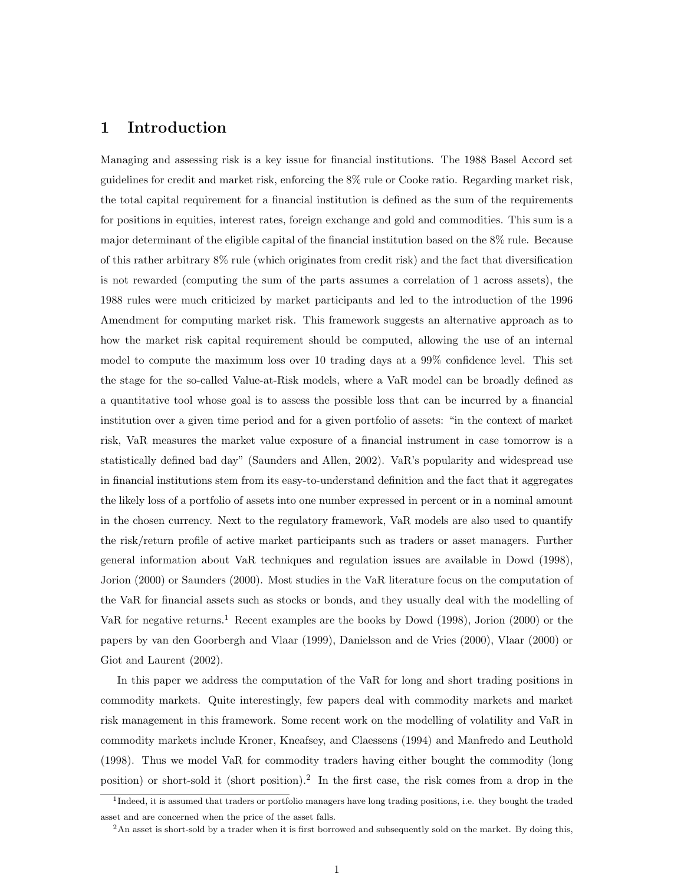## 1 Introduction

Managing and assessing risk is a key issue for financial institutions. The 1988 Basel Accord set guidelines for credit and market risk, enforcing the 8% rule or Cooke ratio. Regarding market risk, the total capital requirement for a financial institution is defined as the sum of the requirements for positions in equities, interest rates, foreign exchange and gold and commodities. This sum is a major determinant of the eligible capital of the financial institution based on the 8% rule. Because of this rather arbitrary 8% rule (which originates from credit risk) and the fact that diversification is not rewarded (computing the sum of the parts assumes a correlation of 1 across assets), the 1988 rules were much criticized by market participants and led to the introduction of the 1996 Amendment for computing market risk. This framework suggests an alternative approach as to how the market risk capital requirement should be computed, allowing the use of an internal model to compute the maximum loss over 10 trading days at a 99% confidence level. This set the stage for the so-called Value-at-Risk models, where a VaR model can be broadly defined as a quantitative tool whose goal is to assess the possible loss that can be incurred by a financial institution over a given time period and for a given portfolio of assets: "in the context of market risk, VaR measures the market value exposure of a financial instrument in case tomorrow is a statistically defined bad day" (Saunders and Allen, 2002). VaR's popularity and widespread use in financial institutions stem from its easy-to-understand definition and the fact that it aggregates the likely loss of a portfolio of assets into one number expressed in percent or in a nominal amount in the chosen currency. Next to the regulatory framework, VaR models are also used to quantify the risk/return profile of active market participants such as traders or asset managers. Further general information about VaR techniques and regulation issues are available in Dowd (1998), Jorion (2000) or Saunders (2000). Most studies in the VaR literature focus on the computation of the VaR for financial assets such as stocks or bonds, and they usually deal with the modelling of VaR for negative returns.<sup>1</sup> Recent examples are the books by Dowd (1998), Jorion (2000) or the papers by van den Goorbergh and Vlaar (1999), Danielsson and de Vries (2000), Vlaar (2000) or Giot and Laurent (2002).

In this paper we address the computation of the VaR for long and short trading positions in commodity markets. Quite interestingly, few papers deal with commodity markets and market risk management in this framework. Some recent work on the modelling of volatility and VaR in commodity markets include Kroner, Kneafsey, and Claessens (1994) and Manfredo and Leuthold (1998). Thus we model VaR for commodity traders having either bought the commodity (long position) or short-sold it (short position).<sup>2</sup> In the first case, the risk comes from a drop in the

<sup>&</sup>lt;sup>1</sup>Indeed, it is assumed that traders or portfolio managers have long trading positions, i.e. they bought the traded asset and are concerned when the price of the asset falls.

<sup>&</sup>lt;sup>2</sup>An asset is short-sold by a trader when it is first borrowed and subsequently sold on the market. By doing this,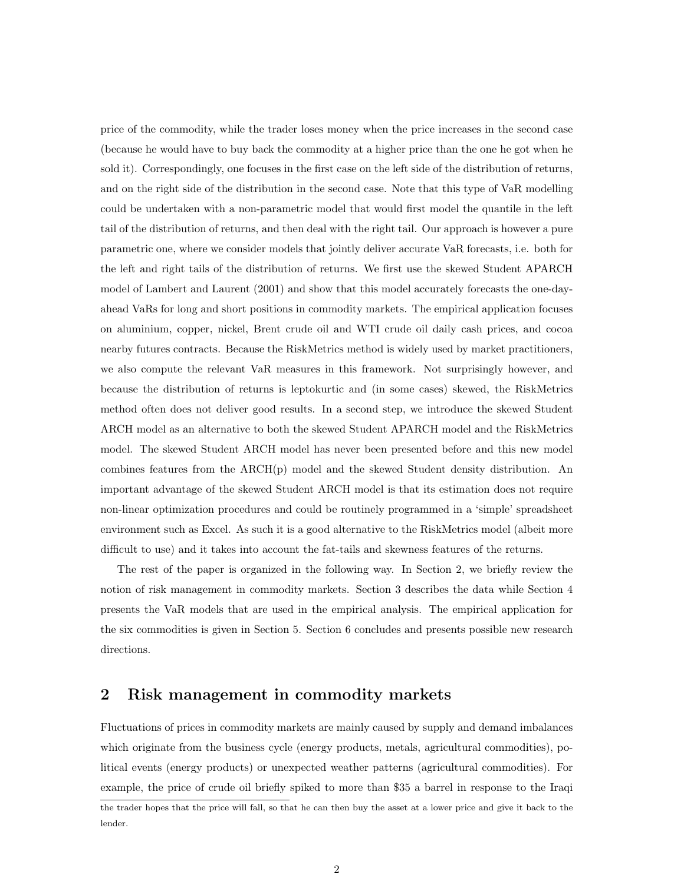price of the commodity, while the trader loses money when the price increases in the second case (because he would have to buy back the commodity at a higher price than the one he got when he sold it). Correspondingly, one focuses in the first case on the left side of the distribution of returns, and on the right side of the distribution in the second case. Note that this type of VaR modelling could be undertaken with a non-parametric model that would first model the quantile in the left tail of the distribution of returns, and then deal with the right tail. Our approach is however a pure parametric one, where we consider models that jointly deliver accurate VaR forecasts, i.e. both for the left and right tails of the distribution of returns. We first use the skewed Student APARCH model of Lambert and Laurent (2001) and show that this model accurately forecasts the one-dayahead VaRs for long and short positions in commodity markets. The empirical application focuses on aluminium, copper, nickel, Brent crude oil and WTI crude oil daily cash prices, and cocoa nearby futures contracts. Because the RiskMetrics method is widely used by market practitioners, we also compute the relevant VaR measures in this framework. Not surprisingly however, and because the distribution of returns is leptokurtic and (in some cases) skewed, the RiskMetrics method often does not deliver good results. In a second step, we introduce the skewed Student ARCH model as an alternative to both the skewed Student APARCH model and the RiskMetrics model. The skewed Student ARCH model has never been presented before and this new model combines features from the  $ARCH(p)$  model and the skewed Student density distribution. An important advantage of the skewed Student ARCH model is that its estimation does not require non-linear optimization procedures and could be routinely programmed in a 'simple' spreadsheet environment such as Excel. As such it is a good alternative to the RiskMetrics model (albeit more difficult to use) and it takes into account the fat-tails and skewness features of the returns.

The rest of the paper is organized in the following way. In Section 2, we briefly review the notion of risk management in commodity markets. Section 3 describes the data while Section 4 presents the VaR models that are used in the empirical analysis. The empirical application for the six commodities is given in Section 5. Section 6 concludes and presents possible new research directions.

## 2 Risk management in commodity markets

Fluctuations of prices in commodity markets are mainly caused by supply and demand imbalances which originate from the business cycle (energy products, metals, agricultural commodities), political events (energy products) or unexpected weather patterns (agricultural commodities). For example, the price of crude oil briefly spiked to more than \$35 a barrel in response to the Iraqi

the trader hopes that the price will fall, so that he can then buy the asset at a lower price and give it back to the lender.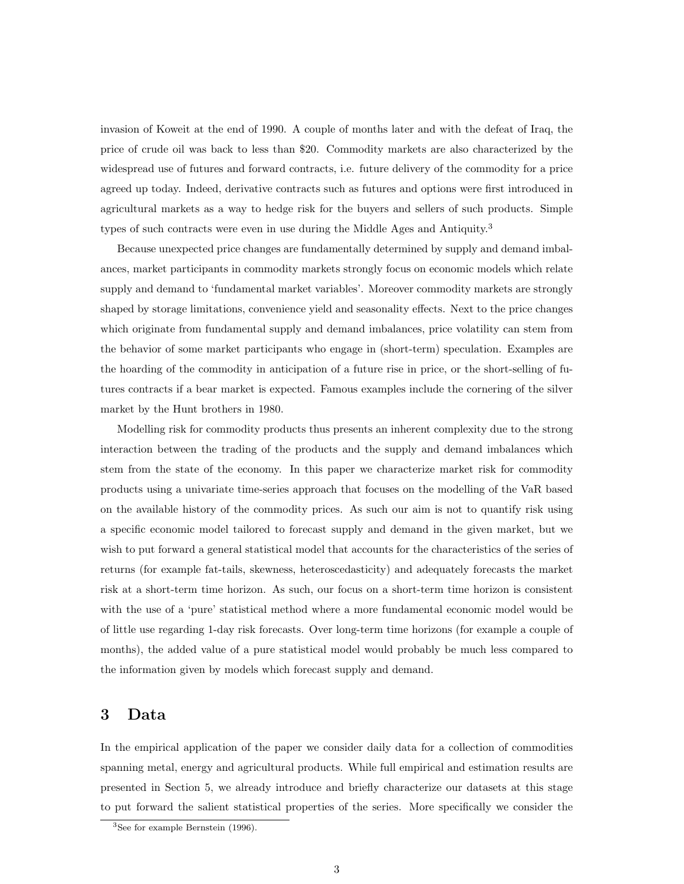invasion of Koweit at the end of 1990. A couple of months later and with the defeat of Iraq, the price of crude oil was back to less than \$20. Commodity markets are also characterized by the widespread use of futures and forward contracts, i.e. future delivery of the commodity for a price agreed up today. Indeed, derivative contracts such as futures and options were first introduced in agricultural markets as a way to hedge risk for the buyers and sellers of such products. Simple types of such contracts were even in use during the Middle Ages and Antiquity.<sup>3</sup>

Because unexpected price changes are fundamentally determined by supply and demand imbalances, market participants in commodity markets strongly focus on economic models which relate supply and demand to 'fundamental market variables'. Moreover commodity markets are strongly shaped by storage limitations, convenience yield and seasonality effects. Next to the price changes which originate from fundamental supply and demand imbalances, price volatility can stem from the behavior of some market participants who engage in (short-term) speculation. Examples are the hoarding of the commodity in anticipation of a future rise in price, or the short-selling of futures contracts if a bear market is expected. Famous examples include the cornering of the silver market by the Hunt brothers in 1980.

Modelling risk for commodity products thus presents an inherent complexity due to the strong interaction between the trading of the products and the supply and demand imbalances which stem from the state of the economy. In this paper we characterize market risk for commodity products using a univariate time-series approach that focuses on the modelling of the VaR based on the available history of the commodity prices. As such our aim is not to quantify risk using a specific economic model tailored to forecast supply and demand in the given market, but we wish to put forward a general statistical model that accounts for the characteristics of the series of returns (for example fat-tails, skewness, heteroscedasticity) and adequately forecasts the market risk at a short-term time horizon. As such, our focus on a short-term time horizon is consistent with the use of a 'pure' statistical method where a more fundamental economic model would be of little use regarding 1-day risk forecasts. Over long-term time horizons (for example a couple of months), the added value of a pure statistical model would probably be much less compared to the information given by models which forecast supply and demand.

## 3 Data

In the empirical application of the paper we consider daily data for a collection of commodities spanning metal, energy and agricultural products. While full empirical and estimation results are presented in Section 5, we already introduce and briefly characterize our datasets at this stage to put forward the salient statistical properties of the series. More specifically we consider the

<sup>3</sup>See for example Bernstein (1996).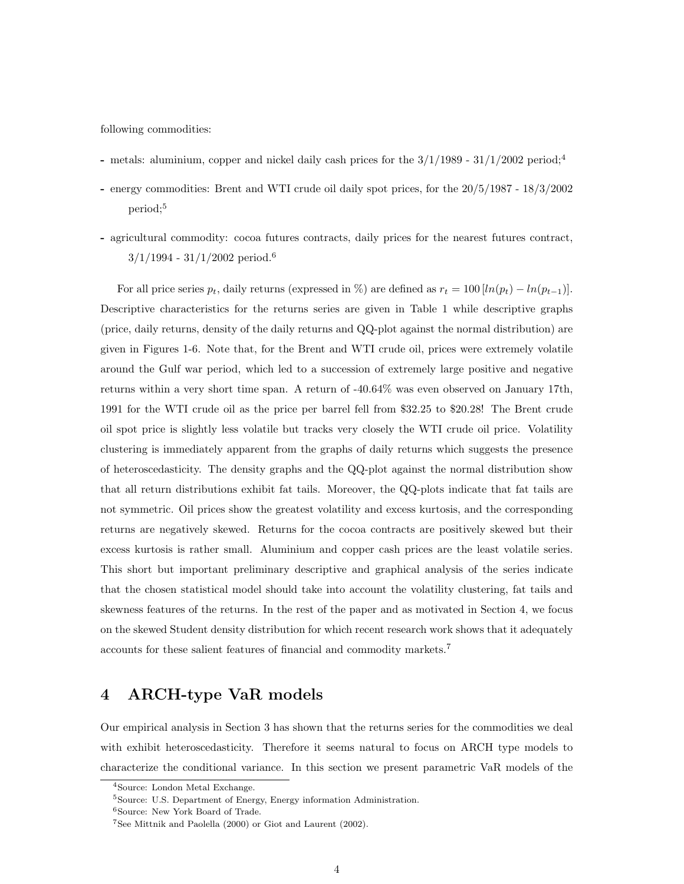following commodities:

- metals: aluminium, copper and nickel daily cash prices for the  $3/1/1989$   $31/1/2002$  period;<sup>4</sup>
- energy commodities: Brent and WTI crude oil daily spot prices, for the 20/5/1987 18/3/2002 period;<sup>5</sup>
- agricultural commodity: cocoa futures contracts, daily prices for the nearest futures contract,  $3/1/1994 - 31/1/2002$  period.<sup>6</sup>

For all price series  $p_t$ , daily returns (expressed in %) are defined as  $r_t = 100 [ln(p_t) - ln(p_{t-1})].$ Descriptive characteristics for the returns series are given in Table 1 while descriptive graphs (price, daily returns, density of the daily returns and QQ-plot against the normal distribution) are given in Figures 1-6. Note that, for the Brent and WTI crude oil, prices were extremely volatile around the Gulf war period, which led to a succession of extremely large positive and negative returns within a very short time span. A return of -40.64% was even observed on January 17th, 1991 for the WTI crude oil as the price per barrel fell from \$32.25 to \$20.28! The Brent crude oil spot price is slightly less volatile but tracks very closely the WTI crude oil price. Volatility clustering is immediately apparent from the graphs of daily returns which suggests the presence of heteroscedasticity. The density graphs and the QQ-plot against the normal distribution show that all return distributions exhibit fat tails. Moreover, the QQ-plots indicate that fat tails are not symmetric. Oil prices show the greatest volatility and excess kurtosis, and the corresponding returns are negatively skewed. Returns for the cocoa contracts are positively skewed but their excess kurtosis is rather small. Aluminium and copper cash prices are the least volatile series. This short but important preliminary descriptive and graphical analysis of the series indicate that the chosen statistical model should take into account the volatility clustering, fat tails and skewness features of the returns. In the rest of the paper and as motivated in Section 4, we focus on the skewed Student density distribution for which recent research work shows that it adequately accounts for these salient features of financial and commodity markets.<sup>7</sup>

# 4 ARCH-type VaR models

Our empirical analysis in Section 3 has shown that the returns series for the commodities we deal with exhibit heteroscedasticity. Therefore it seems natural to focus on ARCH type models to characterize the conditional variance. In this section we present parametric VaR models of the

<sup>4</sup>Source: London Metal Exchange.

<sup>5</sup>Source: U.S. Department of Energy, Energy information Administration.

<sup>6</sup>Source: New York Board of Trade.

<sup>7</sup>See Mittnik and Paolella (2000) or Giot and Laurent (2002).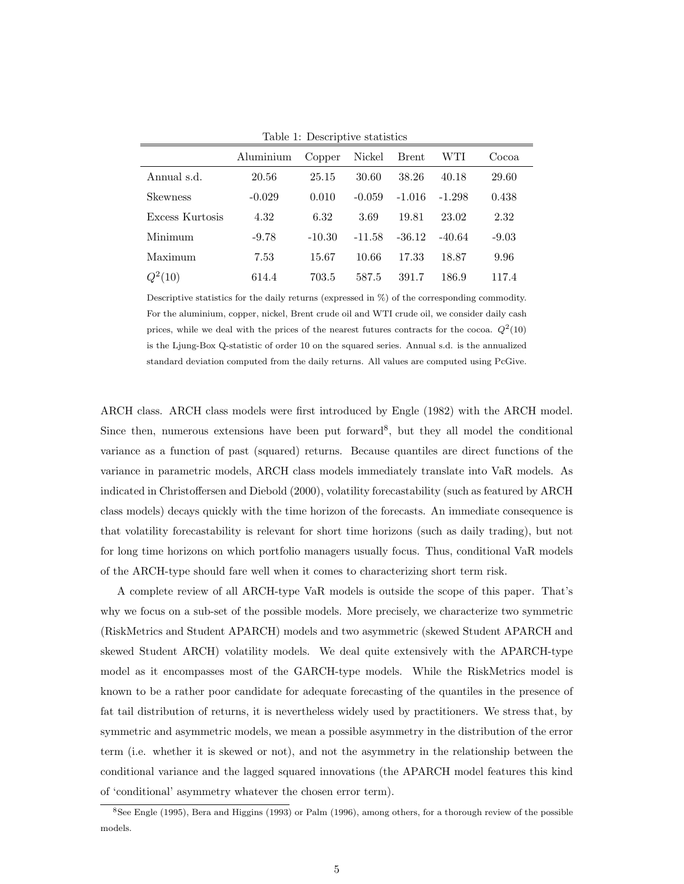| rapic 1. Descriptive statistics |           |          |          |              |          |         |  |  |  |
|---------------------------------|-----------|----------|----------|--------------|----------|---------|--|--|--|
|                                 | Aluminium | Copper   | Nickel   | <b>Brent</b> | WTI      | Cocoa   |  |  |  |
| Annual s.d.                     | 20.56     | 25.15    | 30.60    | 38.26        | 40.18    | 29.60   |  |  |  |
| <b>Skewness</b>                 | $-0.029$  | 0.010    | $-0.059$ | $-1.016$     | $-1.298$ | 0.438   |  |  |  |
| Excess Kurtosis                 | 4.32      | 6.32     | 3.69     | 19.81        | 23.02    | 2.32    |  |  |  |
| Minimum                         | $-9.78$   | $-10.30$ | $-11.58$ | $-36.12$     | $-40.64$ | $-9.03$ |  |  |  |
| Maximum                         | 7.53      | 15.67    | 10.66    | 17.33        | 18.87    | 9.96    |  |  |  |
| $Q^2(10)$                       | 614.4     | 703.5    | 587.5    | 391.7        | 186.9    | 117.4   |  |  |  |

Table 1: Descriptive statistics

Descriptive statistics for the daily returns (expressed in %) of the corresponding commodity. For the aluminium, copper, nickel, Brent crude oil and WTI crude oil, we consider daily cash prices, while we deal with the prices of the nearest futures contracts for the cocoa.  $Q^2(10)$ is the Ljung-Box Q-statistic of order 10 on the squared series. Annual s.d. is the annualized standard deviation computed from the daily returns. All values are computed using PcGive.

ARCH class. ARCH class models were first introduced by Engle (1982) with the ARCH model. Since then, numerous extensions have been put forward<sup>8</sup>, but they all model the conditional variance as a function of past (squared) returns. Because quantiles are direct functions of the variance in parametric models, ARCH class models immediately translate into VaR models. As indicated in Christoffersen and Diebold (2000), volatility forecastability (such as featured by ARCH class models) decays quickly with the time horizon of the forecasts. An immediate consequence is that volatility forecastability is relevant for short time horizons (such as daily trading), but not for long time horizons on which portfolio managers usually focus. Thus, conditional VaR models of the ARCH-type should fare well when it comes to characterizing short term risk.

A complete review of all ARCH-type VaR models is outside the scope of this paper. That's why we focus on a sub-set of the possible models. More precisely, we characterize two symmetric (RiskMetrics and Student APARCH) models and two asymmetric (skewed Student APARCH and skewed Student ARCH) volatility models. We deal quite extensively with the APARCH-type model as it encompasses most of the GARCH-type models. While the RiskMetrics model is known to be a rather poor candidate for adequate forecasting of the quantiles in the presence of fat tail distribution of returns, it is nevertheless widely used by practitioners. We stress that, by symmetric and asymmetric models, we mean a possible asymmetry in the distribution of the error term (i.e. whether it is skewed or not), and not the asymmetry in the relationship between the conditional variance and the lagged squared innovations (the APARCH model features this kind of 'conditional' asymmetry whatever the chosen error term).

<sup>8</sup>See Engle (1995), Bera and Higgins (1993) or Palm (1996), among others, for a thorough review of the possible models.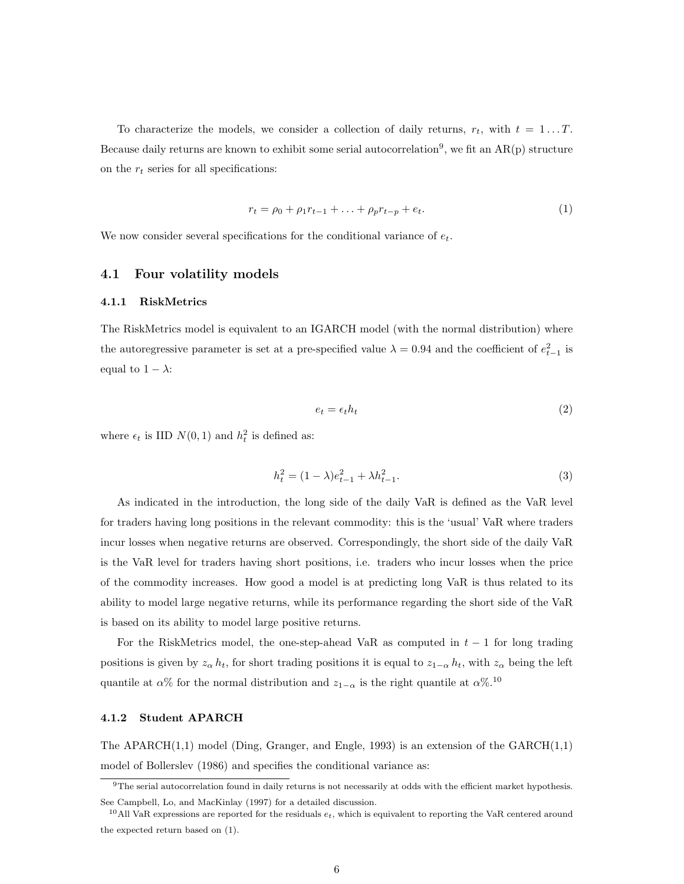To characterize the models, we consider a collection of daily returns,  $r_t$ , with  $t = 1...T$ . Because daily returns are known to exhibit some serial autocorrelation<sup>9</sup>, we fit an  $AR(p)$  structure on the  $r_t$  series for all specifications:

$$
r_t = \rho_0 + \rho_1 r_{t-1} + \ldots + \rho_p r_{t-p} + e_t.
$$
\n(1)

We now consider several specifications for the conditional variance of  $e_t$ .

### 4.1 Four volatility models

#### 4.1.1 RiskMetrics

The RiskMetrics model is equivalent to an IGARCH model (with the normal distribution) where the autoregressive parameter is set at a pre-specified value  $\lambda = 0.94$  and the coefficient of  $e_{t-1}^2$  is equal to  $1 - \lambda$ :

$$
e_t = \epsilon_t h_t \tag{2}
$$

where  $\epsilon_t$  is IID  $N(0, 1)$  and  $h_t^2$  is defined as:

$$
h_t^2 = (1 - \lambda)e_{t-1}^2 + \lambda h_{t-1}^2.
$$
\n(3)

As indicated in the introduction, the long side of the daily VaR is defined as the VaR level for traders having long positions in the relevant commodity: this is the 'usual' VaR where traders incur losses when negative returns are observed. Correspondingly, the short side of the daily VaR is the VaR level for traders having short positions, i.e. traders who incur losses when the price of the commodity increases. How good a model is at predicting long VaR is thus related to its ability to model large negative returns, while its performance regarding the short side of the VaR is based on its ability to model large positive returns.

For the RiskMetrics model, the one-step-ahead VaR as computed in  $t-1$  for long trading positions is given by  $z_\alpha h_t$ , for short trading positions it is equal to  $z_{1-\alpha} h_t$ , with  $z_\alpha$  being the left quantile at  $\alpha\%$  for the normal distribution and  $z_{1-\alpha}$  is the right quantile at  $\alpha\%$ .<sup>10</sup>

### 4.1.2 Student APARCH

The APARCH $(1,1)$  model (Ding, Granger, and Engle, 1993) is an extension of the GARCH $(1,1)$ model of Bollerslev (1986) and specifies the conditional variance as:

<sup>9</sup>The serial autocorrelation found in daily returns is not necessarily at odds with the efficient market hypothesis. See Campbell, Lo, and MacKinlay (1997) for a detailed discussion.

<sup>&</sup>lt;sup>10</sup>All VaR expressions are reported for the residuals  $e_t$ , which is equivalent to reporting the VaR centered around the expected return based on (1).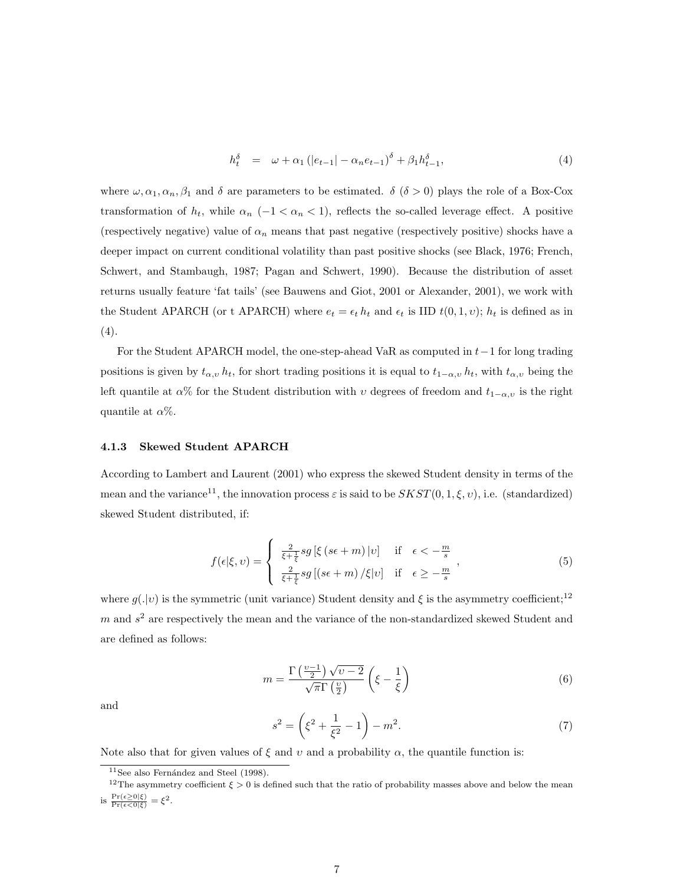$$
h_t^{\delta} = \omega + \alpha_1 (|e_{t-1}| - \alpha_n e_{t-1})^{\delta} + \beta_1 h_{t-1}^{\delta}, \tag{4}
$$

where  $\omega, \alpha_1, \alpha_n, \beta_1$  and  $\delta$  are parameters to be estimated.  $\delta$  ( $\delta > 0$ ) plays the role of a Box-Cox transformation of  $h_t$ , while  $\alpha_n$  (-1 <  $\alpha_n$  < 1), reflects the so-called leverage effect. A positive (respectively negative) value of  $\alpha_n$  means that past negative (respectively positive) shocks have a deeper impact on current conditional volatility than past positive shocks (see Black, 1976; French, Schwert, and Stambaugh, 1987; Pagan and Schwert, 1990). Because the distribution of asset returns usually feature 'fat tails' (see Bauwens and Giot, 2001 or Alexander, 2001), we work with the Student APARCH (or t APARCH) where  $e_t = \epsilon_t h_t$  and  $\epsilon_t$  is IID  $t(0, 1, v)$ ;  $h_t$  is defined as in (4).

For the Student APARCH model, the one-step-ahead VaR as computed in t−1 for long trading positions is given by  $t_{\alpha,v}$  h<sub>t</sub>, for short trading positions it is equal to  $t_{1-\alpha,v}$  h<sub>t</sub>, with  $t_{\alpha,v}$  being the left quantile at  $\alpha$ % for the Student distribution with v degrees of freedom and  $t_{1-\alpha,v}$  is the right quantile at  $\alpha\%$ .

#### 4.1.3 Skewed Student APARCH

According to Lambert and Laurent (2001) who express the skewed Student density in terms of the mean and the variance<sup>11</sup>, the innovation process  $\varepsilon$  is said to be  $SKST(0, 1, \xi, v)$ , i.e. (standardized) skewed Student distributed, if:

$$
f(\epsilon|\xi, v) = \begin{cases} \frac{2}{\xi + \frac{1}{\xi}} sg\left[\xi\left(s\epsilon + m\right)|v\right] & \text{if } \epsilon < -\frac{m}{s} \\ \frac{2}{\xi + \frac{1}{\xi}} sg\left[\left(s\epsilon + m\right)/\xi|v\right] & \text{if } \epsilon \geq -\frac{m}{s} \end{cases},\tag{5}
$$

where  $g(|v)$  is the symmetric (unit variance) Student density and  $\xi$  is the asymmetry coefficient;<sup>12</sup>  $m$  and  $s<sup>2</sup>$  are respectively the mean and the variance of the non-standardized skewed Student and are defined as follows:

$$
m = \frac{\Gamma\left(\frac{\nu - 1}{2}\right)\sqrt{\nu - 2}}{\sqrt{\pi}\Gamma\left(\frac{\nu}{2}\right)} \left(\xi - \frac{1}{\xi}\right)
$$
\n
$$
(6)
$$

and

$$
s^{2} = \left(\xi^{2} + \frac{1}{\xi^{2}} - 1\right) - m^{2}.
$$
 (7)

Note also that for given values of  $\xi$  and  $v$  and a probability  $\alpha$ , the quantile function is:

 $11$ See also Fernández and Steel (1998).

<sup>&</sup>lt;sup>12</sup>The asymmetry coefficient  $\xi > 0$  is defined such that the ratio of probability masses above and below the mean is  $\frac{\Pr(\epsilon \geq 0|\xi)}{\Pr(\epsilon < 0|\xi)} = \xi^2$ .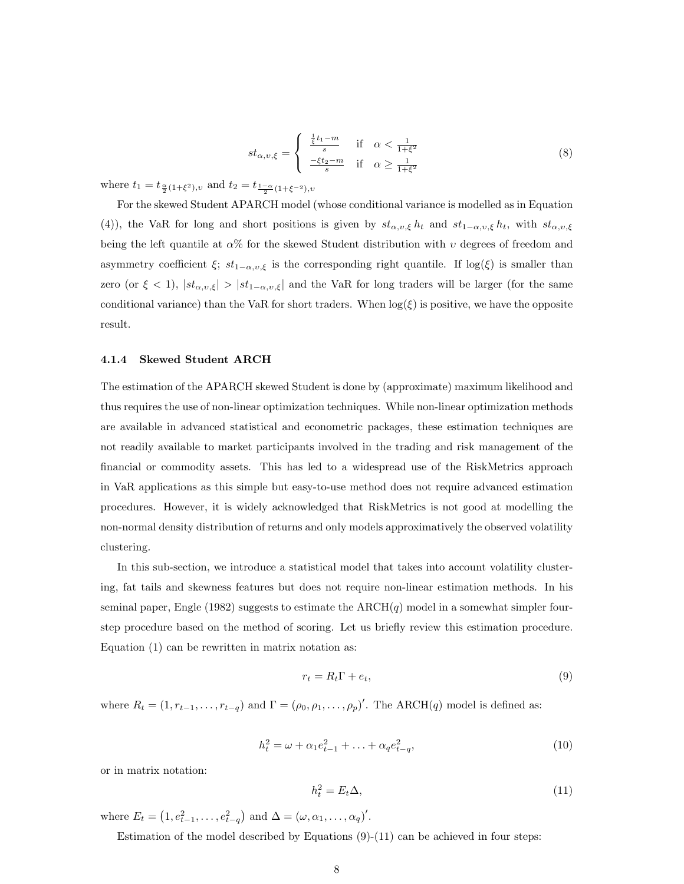$$
st_{\alpha,\upsilon,\xi} = \begin{cases} \frac{\frac{1}{\xi}t_1 - m}{s} & \text{if } \alpha < \frac{1}{1 + \xi^2} \\ \frac{-\xi t_2 - m}{s} & \text{if } \alpha \ge \frac{1}{1 + \xi^2} \end{cases} \tag{8}
$$

where  $t_1 = t_{\frac{\alpha}{2}(1+\xi^2),v}$  and  $t_2 = t_{\frac{1-\alpha}{2}(1+\xi^{-2}),v}$ 

For the skewed Student APARCH model (whose conditional variance is modelled as in Equation (4)), the VaR for long and short positions is given by  $st_{\alpha,\nu,\xi} h_t$  and  $st_{1-\alpha,\nu,\xi} h_t$ , with  $st_{\alpha,\nu,\xi}$ being the left quantile at  $\alpha$ % for the skewed Student distribution with  $v$  degrees of freedom and asymmetry coefficient  $\xi$ ;  $st_{1-\alpha,\nu,\xi}$  is the corresponding right quantile. If log( $\xi$ ) is smaller than zero (or  $\xi < 1$ ),  $|st_{\alpha,\nu,\xi}| > |st_{1-\alpha,\nu,\xi}|$  and the VaR for long traders will be larger (for the same conditional variance) than the VaR for short traders. When  $log(\xi)$  is positive, we have the opposite result.

#### 4.1.4 Skewed Student ARCH

The estimation of the APARCH skewed Student is done by (approximate) maximum likelihood and thus requires the use of non-linear optimization techniques. While non-linear optimization methods are available in advanced statistical and econometric packages, these estimation techniques are not readily available to market participants involved in the trading and risk management of the financial or commodity assets. This has led to a widespread use of the RiskMetrics approach in VaR applications as this simple but easy-to-use method does not require advanced estimation procedures. However, it is widely acknowledged that RiskMetrics is not good at modelling the non-normal density distribution of returns and only models approximatively the observed volatility clustering.

In this sub-section, we introduce a statistical model that takes into account volatility clustering, fat tails and skewness features but does not require non-linear estimation methods. In his seminal paper, Engle (1982) suggests to estimate the  $\text{ARCH}(q)$  model in a somewhat simpler fourstep procedure based on the method of scoring. Let us briefly review this estimation procedure. Equation (1) can be rewritten in matrix notation as:

$$
r_t = R_t \Gamma + e_t,\tag{9}
$$

where  $R_t = (1, r_{t-1}, \ldots, r_{t-q})$  and  $\Gamma = (\rho_0, \rho_1, \ldots, \rho_p)'$ . The ARCH(q) model is defined as:

$$
h_t^2 = \omega + \alpha_1 e_{t-1}^2 + \ldots + \alpha_q e_{t-q}^2,
$$
\n(10)

or in matrix notation:

$$
h_t^2 = E_t \Delta,\tag{11}
$$

where  $E_t =$  $(1, e_{t-1}^2, \ldots, e_{t-q}^2)$ ¢ and  $\Delta = (\omega, \alpha_1, \ldots, \alpha_q)'$ .

Estimation of the model described by Equations  $(9)-(11)$  can be achieved in four steps: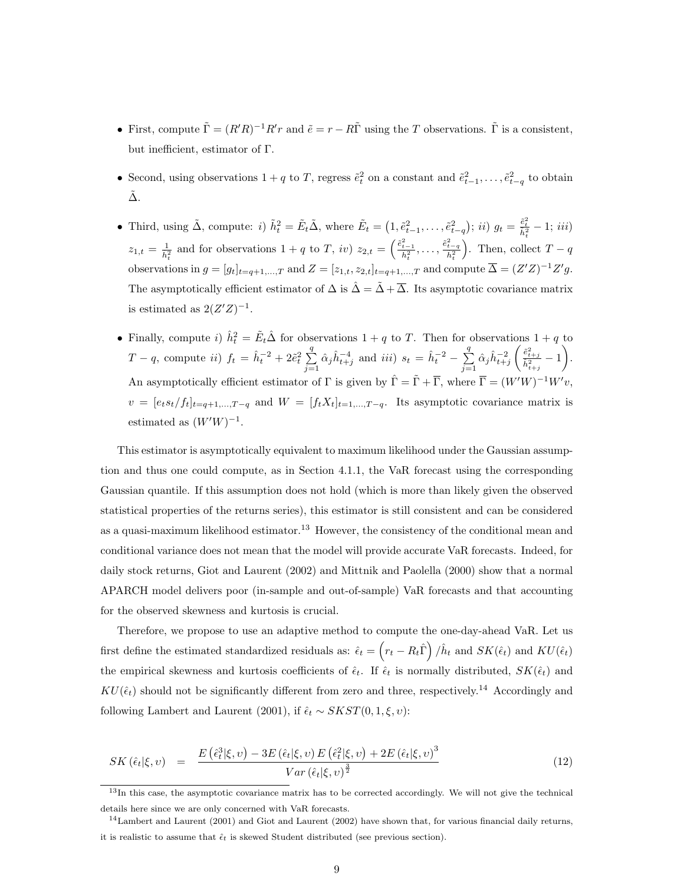- First, compute  $\tilde{\Gamma} = (R'R)^{-1}R'r$  and  $\tilde{e} = r R\tilde{\Gamma}$  using the T observations.  $\tilde{\Gamma}$  is a consistent, but inefficient, estimator of Γ.
- Second, using observations  $1 + q$  to T, regress  $\tilde{e}_t^2$  on a constant and  $\tilde{e}_{t-1}^2, \ldots, \tilde{e}_{t-q}^2$  to obtain  $\tilde{\Delta}$ .
- Third, using  $\tilde{\Delta}$ , compute: *i*)  $\tilde{h}_t^2 = \tilde{E}_t \tilde{\Delta}$ , where  $\tilde{E}_t =$ ¡  $1, \tilde{e}_{t-1}^2, \ldots, \tilde{e}_{t-q}^2$ ¢ ; *ii*)  $g_t = \frac{\tilde{e}_t^2}{\tilde{h}_t^2} - 1$ ; *iii*)  $z_{1,t} = \frac{1}{\bar{h}_t^2}$  and for observations  $1 + q$  to  $T$ , iv)  $z_{2,t} =$  $\left(\frac{\tilde{e}_{t-1}^2}{\tilde{h}_t^2},\ldots,\frac{\tilde{e}_{t-q}^2}{\tilde{h}_t^2}\right)$ y, . Then, collect  $T - q$ observations in  $g = [g_t]_{t=q+1,\ldots,T}$  and  $Z = [z_{1,t}, z_{2,t}]_{t=q+1,\ldots,T}$  and compute  $\overline{\Delta} = (Z'Z)^{-1}Z'g$ . The asymptotically efficient estimator of  $\Delta$  is  $\hat{\Delta} = \tilde{\Delta} + \overline{\Delta}$ . Its asymptotic covariance matrix is estimated as  $2(Z'Z)^{-1}$ .
- Finally, compute i)  $\hat{h}_t^2 = \tilde{E}_t \hat{\Delta}$  for observations  $1 + q$  to T. Then for observations  $1 + q$  to  $T - q$ , compute ii)  $f_t = \hat{h}_t^{-2} + 2\tilde{e}_t^2$  $\frac{q}{q}$  $\sum_{j=1}^{q} \hat{\alpha}_j \hat{h}_{t+j}^{-4}$  and *iii*)  $s_t = \hat{h}_t^{-2} - \sum_{j=1}^{q}$  $\sum_{j=1}^{4} \hat{\alpha}_j \hat{h}_{t+j}^{-2}$  $\frac{\tilde{e}^2_{t+j}}{\hat{h}^2_{t+j}}-1\bigg).$ An asymptotically efficient estimator of  $\Gamma$  is given by  $\hat{\Gamma} = \tilde{\Gamma} + \overline{\Gamma}$ , where  $\overline{\Gamma} = (W'W)^{-1}W'v$ ,  $v = [e_ts_t/f_t]_{t=q+1,\dots,T-q}$  and  $W = [f_tX_t]_{t=1,\dots,T-q}$ . Its asymptotic covariance matrix is estimated as  $(W'W)^{-1}$ .

This estimator is asymptotically equivalent to maximum likelihood under the Gaussian assumption and thus one could compute, as in Section 4.1.1, the VaR forecast using the corresponding Gaussian quantile. If this assumption does not hold (which is more than likely given the observed statistical properties of the returns series), this estimator is still consistent and can be considered as a quasi-maximum likelihood estimator.<sup>13</sup> However, the consistency of the conditional mean and conditional variance does not mean that the model will provide accurate VaR forecasts. Indeed, for daily stock returns, Giot and Laurent (2002) and Mittnik and Paolella (2000) show that a normal APARCH model delivers poor (in-sample and out-of-sample) VaR forecasts and that accounting for the observed skewness and kurtosis is crucial.

Therefore, we propose to use an adaptive method to compute the one-day-ahead VaR. Let us first define the estimated standardized residuals as:  $\hat{\epsilon}_t = (r_t - R_t \hat{\Gamma}) / \hat{h}_t$  and  $SK(\hat{\epsilon}_t)$  and  $KU(\hat{\epsilon}_t)$ the empirical skewness and kurtosis coefficients of  $\hat{\epsilon}_t$ . If  $\hat{\epsilon}_t$  is normally distributed,  $SK(\hat{\epsilon}_t)$  and  $KU(\hat{\epsilon}_t)$  should not be significantly different from zero and three, respectively.<sup>14</sup> Accordingly and following Lambert and Laurent (2001), if  $\hat{\epsilon}_t \sim SKST(0, 1, \xi, v)$ :

$$
SK\left(\hat{\epsilon}_t|\xi,\upsilon\right) = \frac{E\left(\hat{\epsilon}_t^3|\xi,\upsilon\right) - 3E\left(\hat{\epsilon}_t|\xi,\upsilon\right)E\left(\hat{\epsilon}_t^2|\xi,\upsilon\right) + 2E\left(\hat{\epsilon}_t|\xi,\upsilon\right)^3}{Var\left(\hat{\epsilon}_t|\xi,\upsilon\right)^{\frac{3}{2}}}
$$
\n(12)

<sup>13</sup>In this case, the asymptotic covariance matrix has to be corrected accordingly. We will not give the technical details here since we are only concerned with VaR forecasts.

<sup>&</sup>lt;sup>14</sup>Lambert and Laurent (2001) and Giot and Laurent (2002) have shown that, for various financial daily returns, it is realistic to assume that  $\hat{\epsilon}_t$  is skewed Student distributed (see previous section).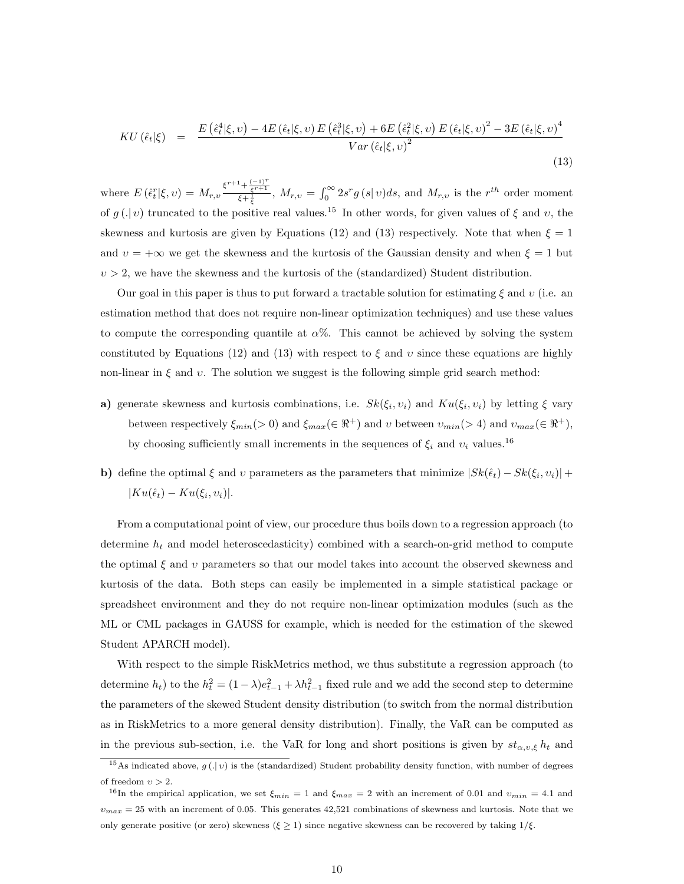$$
KU\left(\hat{\epsilon}_{t}|\xi\right) = \frac{E\left(\hat{\epsilon}_{t}^{4}|\xi,\upsilon\right) - 4E\left(\hat{\epsilon}_{t}|\xi,\upsilon\right)E\left(\hat{\epsilon}_{t}^{3}|\xi,\upsilon\right) + 6E\left(\hat{\epsilon}_{t}^{2}|\xi,\upsilon\right)E\left(\hat{\epsilon}_{t}|\xi,\upsilon\right)^{2} - 3E\left(\hat{\epsilon}_{t}|\xi,\upsilon\right)^{4}}{Var\left(\hat{\epsilon}_{t}|\xi,\upsilon\right)^{2}}
$$
\n(13)

where  $E(\hat{\epsilon}_t^r | \xi, v) = M_{r,v} \frac{\xi^{r+1} + \frac{(-1)^r}{\xi^{r+1}}}{\xi + \frac{1}{\xi}}, M_{r,v} = \int_0^\infty$  $\int_0^\infty 2s^r g(s|v)ds$ , and  $M_{r,v}$  is the  $r^{th}$  order moment of  $g(.)v)$  truncated to the positive real values.<sup>15</sup> In other words, for given values of  $\xi$  and  $v$ , the skewness and kurtosis are given by Equations (12) and (13) respectively. Note that when  $\xi = 1$ and  $v = +\infty$  we get the skewness and the kurtosis of the Gaussian density and when  $\xi = 1$  but  $v > 2$ , we have the skewness and the kurtosis of the (standardized) Student distribution.

Our goal in this paper is thus to put forward a tractable solution for estimating  $\xi$  and  $v$  (i.e. an estimation method that does not require non-linear optimization techniques) and use these values to compute the corresponding quantile at  $\alpha\%$ . This cannot be achieved by solving the system constituted by Equations (12) and (13) with respect to  $\xi$  and  $v$  since these equations are highly non-linear in  $\xi$  and v. The solution we suggest is the following simple grid search method:

- a) generate skewness and kurtosis combinations, i.e.  $Sk(\xi_i, v_i)$  and  $Ku(\xi_i, v_i)$  by letting  $\xi$  vary between respectively  $\xi_{min}(> 0)$  and  $\xi_{max}(\in \mathbb{R}^+)$  and  $v$  between  $v_{min}(> 4)$  and  $v_{max}(\in \mathbb{R}^+)$ , by choosing sufficiently small increments in the sequences of  $\xi_i$  and  $v_i$  values.<sup>16</sup>
- b) define the optimal  $\xi$  and  $v$  parameters as the parameters that minimize  $|Sk(\hat{\epsilon}_t) Sk(\xi_i, v_i)| +$  $|Ku(\hat{\epsilon}_t) - Ku(\xi_i, v_i)|.$

From a computational point of view, our procedure thus boils down to a regression approach (to determine  $h_t$  and model heteroscedasticity) combined with a search-on-grid method to compute the optimal  $\xi$  and  $\nu$  parameters so that our model takes into account the observed skewness and kurtosis of the data. Both steps can easily be implemented in a simple statistical package or spreadsheet environment and they do not require non-linear optimization modules (such as the ML or CML packages in GAUSS for example, which is needed for the estimation of the skewed Student APARCH model).

With respect to the simple RiskMetrics method, we thus substitute a regression approach (to determine  $h_t$ ) to the  $h_t^2 = (1 - \lambda)e_{t-1}^2 + \lambda h_{t-1}^2$  fixed rule and we add the second step to determine the parameters of the skewed Student density distribution (to switch from the normal distribution as in RiskMetrics to a more general density distribution). Finally, the VaR can be computed as in the previous sub-section, i.e. the VaR for long and short positions is given by  $st_{\alpha,\nu,\xi} h_t$  and

<sup>&</sup>lt;sup>15</sup>As indicated above,  $g(.)v)$  is the (standardized) Student probability density function, with number of degrees of freedom  $v > 2$ .

<sup>&</sup>lt;sup>16</sup>In the empirical application, we set  $\xi_{min} = 1$  and  $\xi_{max} = 2$  with an increment of 0.01 and  $v_{min} = 4.1$  and  $v_{max} = 25$  with an increment of 0.05. This generates 42,521 combinations of skewness and kurtosis. Note that we only generate positive (or zero) skewness ( $\xi \geq 1$ ) since negative skewness can be recovered by taking  $1/\xi$ .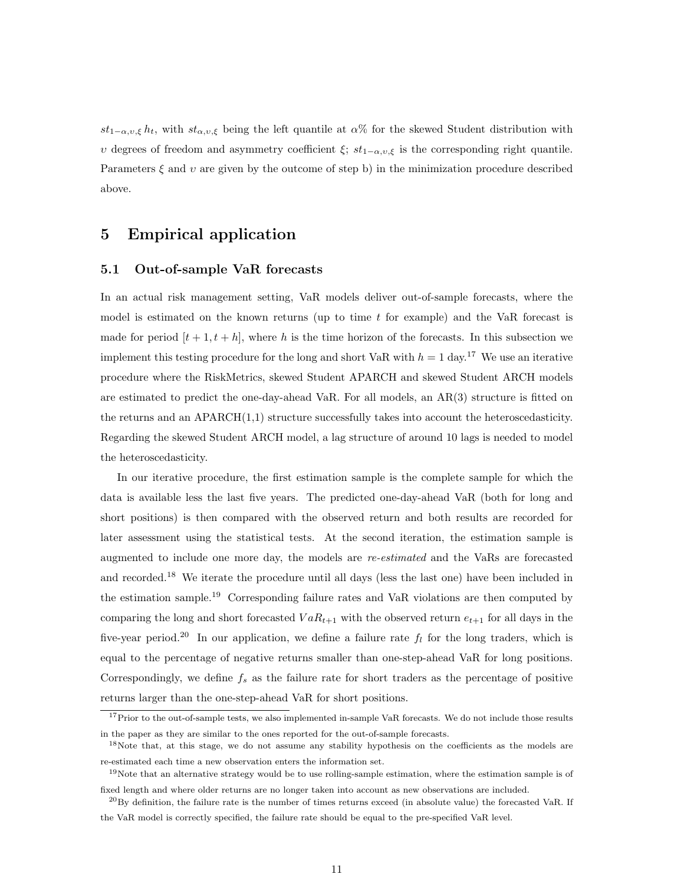$st_{1-\alpha,\nu,\xi}$  h<sub>t</sub>, with  $st_{\alpha,\nu,\xi}$  being the left quantile at  $\alpha$ % for the skewed Student distribution with v degrees of freedom and asymmetry coefficient  $\xi$ ;  $st_{1-\alpha,v,\xi}$  is the corresponding right quantile. Parameters  $\xi$  and  $\nu$  are given by the outcome of step b) in the minimization procedure described above.

## 5 Empirical application

### 5.1 Out-of-sample VaR forecasts

In an actual risk management setting, VaR models deliver out-of-sample forecasts, where the model is estimated on the known returns (up to time  $t$  for example) and the VaR forecast is made for period  $[t + 1, t + h]$ , where h is the time horizon of the forecasts. In this subsection we implement this testing procedure for the long and short VaR with  $h = 1 \text{ day}$ .<sup>17</sup> We use an iterative procedure where the RiskMetrics, skewed Student APARCH and skewed Student ARCH models are estimated to predict the one-day-ahead VaR. For all models, an AR(3) structure is fitted on the returns and an APARCH(1,1) structure successfully takes into account the heteroscedasticity. Regarding the skewed Student ARCH model, a lag structure of around 10 lags is needed to model the heteroscedasticity.

In our iterative procedure, the first estimation sample is the complete sample for which the data is available less the last five years. The predicted one-day-ahead VaR (both for long and short positions) is then compared with the observed return and both results are recorded for later assessment using the statistical tests. At the second iteration, the estimation sample is augmented to include one more day, the models are re-estimated and the VaRs are forecasted and recorded.<sup>18</sup> We iterate the procedure until all days (less the last one) have been included in the estimation sample.<sup>19</sup> Corresponding failure rates and VaR violations are then computed by comparing the long and short forecasted  $VaR_{t+1}$  with the observed return  $e_{t+1}$  for all days in the five-year period.<sup>20</sup> In our application, we define a failure rate  $f_l$  for the long traders, which is equal to the percentage of negative returns smaller than one-step-ahead VaR for long positions. Correspondingly, we define  $f_s$  as the failure rate for short traders as the percentage of positive returns larger than the one-step-ahead VaR for short positions.

<sup>&</sup>lt;sup>17</sup>Prior to the out-of-sample tests, we also implemented in-sample VaR forecasts. We do not include those results in the paper as they are similar to the ones reported for the out-of-sample forecasts.

<sup>&</sup>lt;sup>18</sup>Note that, at this stage, we do not assume any stability hypothesis on the coefficients as the models are re-estimated each time a new observation enters the information set.

<sup>&</sup>lt;sup>19</sup>Note that an alternative strategy would be to use rolling-sample estimation, where the estimation sample is of fixed length and where older returns are no longer taken into account as new observations are included.

 $^{20}$ By definition, the failure rate is the number of times returns exceed (in absolute value) the forecasted VaR. If the VaR model is correctly specified, the failure rate should be equal to the pre-specified VaR level.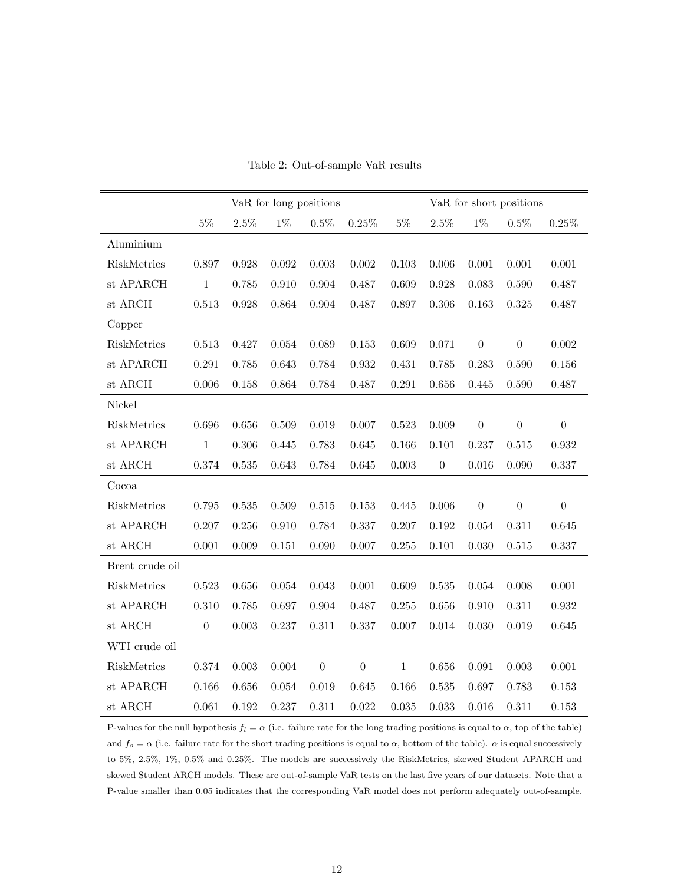|                 | VaR for long positions |             |       |                  |                | VaR for short positions |                  |                  |                  |                  |
|-----------------|------------------------|-------------|-------|------------------|----------------|-------------------------|------------------|------------------|------------------|------------------|
|                 | $5\%$                  | $2.5\%$     | $1\%$ | $0.5\%$          | 0.25%          | $5\%$                   | $2.5\%$          | $1\%$            | $0.5\%$          | 0.25%            |
| Aluminium       |                        |             |       |                  |                |                         |                  |                  |                  |                  |
| RiskMetrics     | 0.897                  | 0.928       | 0.092 | 0.003            | 0.002          | 0.103                   | 0.006            | 0.001            | 0.001            | 0.001            |
| st APARCH       | $\mathbf{1}$           | 0.785       | 0.910 | 0.904            | 0.487          | 0.609                   | 0.928            | 0.083            | 0.590            | 0.487            |
| st ARCH         | 0.513                  | 0.928       | 0.864 | 0.904            | 0.487          | 0.897                   | 0.306            | 0.163            | 0.325            | 0.487            |
| Copper          |                        |             |       |                  |                |                         |                  |                  |                  |                  |
| RiskMetrics     | 0.513                  | 0.427       | 0.054 | 0.089            | 0.153          | 0.609                   | 0.071            | $\boldsymbol{0}$ | $\overline{0}$   | 0.002            |
| st APARCH       | 0.291                  | 0.785       | 0.643 | 0.784            | 0.932          | 0.431                   | 0.785            | 0.283            | 0.590            | 0.156            |
| st ARCH         | 0.006                  | $0.158\,$   | 0.864 | 0.784            | 0.487          | 0.291                   | 0.656            | 0.445            | 0.590            | 0.487            |
| Nickel          |                        |             |       |                  |                |                         |                  |                  |                  |                  |
| RiskMetrics     | 0.696                  | 0.656       | 0.509 | 0.019            | 0.007          | 0.523                   | 0.009            | $\boldsymbol{0}$ | $\boldsymbol{0}$ | $\boldsymbol{0}$ |
| st APARCH       | $\mathbf{1}$           | 0.306       | 0.445 | 0.783            | 0.645          | 0.166                   | 0.101            | 0.237            | 0.515            | 0.932            |
| st ARCH         | 0.374                  | $0.535\,$   | 0.643 | 0.784            | 0.645          | 0.003                   | $\boldsymbol{0}$ | 0.016            | 0.090            | 0.337            |
| Cocoa           |                        |             |       |                  |                |                         |                  |                  |                  |                  |
| RiskMetrics     | 0.795                  | 0.535       | 0.509 | 0.515            | 0.153          | 0.445                   | 0.006            | $\boldsymbol{0}$ | $\boldsymbol{0}$ | $\overline{0}$   |
| st APARCH       | 0.207                  | 0.256       | 0.910 | 0.784            | 0.337          | 0.207                   | 0.192            | 0.054            | 0.311            | 0.645            |
| $\rm st$ ARCH   | 0.001                  | 0.009       | 0.151 | 0.090            | 0.007          | 0.255                   | 0.101            | 0.030            | 0.515            | 0.337            |
| Brent crude oil |                        |             |       |                  |                |                         |                  |                  |                  |                  |
| RiskMetrics     | 0.523                  | 0.656       | 0.054 | 0.043            | 0.001          | 0.609                   | 0.535            | 0.054            | 0.008            | 0.001            |
| st APARCH       | 0.310                  | 0.785       | 0.697 | 0.904            | 0.487          | 0.255                   | 0.656            | 0.910            | 0.311            | 0.932            |
| $\rm st$ ARCH   | $\overline{0}$         | $\,0.003\,$ | 0.237 | 0.311            | 0.337          | 0.007                   | 0.014            | 0.030            | 0.019            | 0.645            |
| WTI crude oil   |                        |             |       |                  |                |                         |                  |                  |                  |                  |
| RiskMetrics     | 0.374                  | 0.003       | 0.004 | $\boldsymbol{0}$ | $\overline{0}$ | $\,1$                   | 0.656            | 0.091            | 0.003            | 0.001            |
| st APARCH       | 0.166                  | 0.656       | 0.054 | 0.019            | 0.645          | 0.166                   | 0.535            | 0.697            | 0.783            | 0.153            |
| st ARCH         | 0.061                  | 0.192       | 0.237 | 0.311            | 0.022          | 0.035                   | 0.033            | 0.016            | 0.311            | 0.153            |

Table 2: Out-of-sample VaR results

P-values for the null hypothesis  $f_l = \alpha$  (i.e. failure rate for the long trading positions is equal to  $\alpha$ , top of the table) and  $f_s = \alpha$  (i.e. failure rate for the short trading positions is equal to  $\alpha$ , bottom of the table).  $\alpha$  is equal successively to 5%, 2.5%, 1%, 0.5% and 0.25%. The models are successively the RiskMetrics, skewed Student APARCH and skewed Student ARCH models. These are out-of-sample VaR tests on the last five years of our datasets. Note that a P-value smaller than 0.05 indicates that the corresponding VaR model does not perform adequately out-of-sample.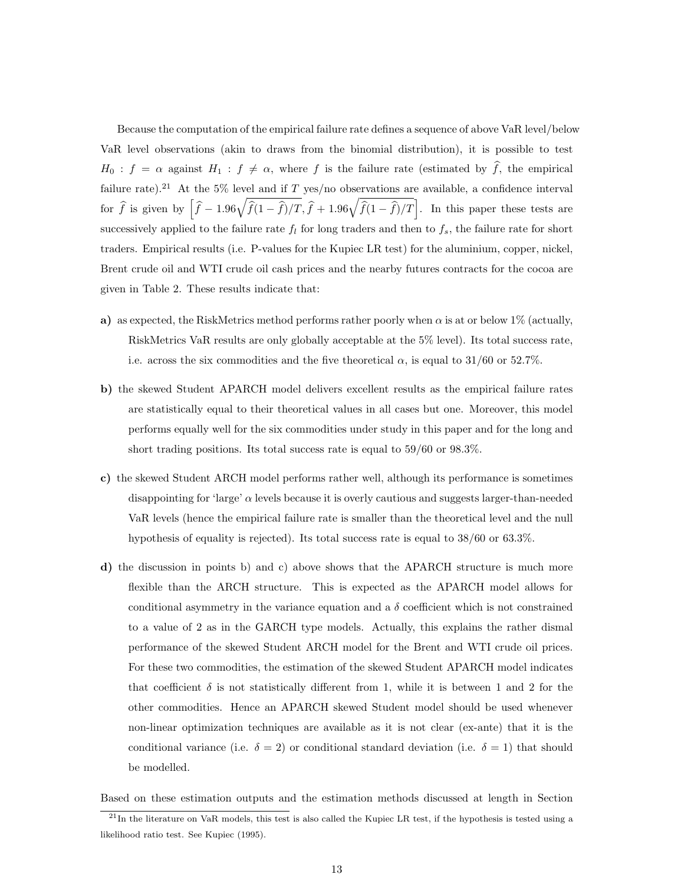Because the computation of the empirical failure rate defines a sequence of above VaR level/below VaR level observations (akin to draws from the binomial distribution), it is possible to test  $H_0$ :  $f = \alpha$  against  $H_1$ :  $f \neq \alpha$ , where f is the failure rate (estimated by  $\hat{f}$ , the empirical failure rate).<sup>21</sup> At the 5% level and if T yes/no observations are available, a confidence interval for  $\hat{f}$  is given by  $\left[\hat{f} - 1.96\sqrt{\hat{f}(1-\hat{f})/T}, \hat{f} + 1.96\sqrt{\hat{f}(1-\hat{f})/T}\right]$ . In this paper these tests are successively applied to the failure rate  $f_l$  for long traders and then to  $f_s$ , the failure rate for short traders. Empirical results (i.e. P-values for the Kupiec LR test) for the aluminium, copper, nickel, Brent crude oil and WTI crude oil cash prices and the nearby futures contracts for the cocoa are given in Table 2. These results indicate that:

- a) as expected, the RiskMetrics method performs rather poorly when  $\alpha$  is at or below 1% (actually, RiskMetrics VaR results are only globally acceptable at the 5% level). Its total success rate, i.e. across the six commodities and the five theoretical  $\alpha$ , is equal to 31/60 or 52.7%.
- b) the skewed Student APARCH model delivers excellent results as the empirical failure rates are statistically equal to their theoretical values in all cases but one. Moreover, this model performs equally well for the six commodities under study in this paper and for the long and short trading positions. Its total success rate is equal to 59/60 or 98.3%.
- c) the skewed Student ARCH model performs rather well, although its performance is sometimes disappointing for 'large' α levels because it is overly cautious and suggests larger-than-needed VaR levels (hence the empirical failure rate is smaller than the theoretical level and the null hypothesis of equality is rejected). Its total success rate is equal to 38/60 or 63.3%.
- d) the discussion in points b) and c) above shows that the APARCH structure is much more flexible than the ARCH structure. This is expected as the APARCH model allows for conditional asymmetry in the variance equation and a  $\delta$  coefficient which is not constrained to a value of 2 as in the GARCH type models. Actually, this explains the rather dismal performance of the skewed Student ARCH model for the Brent and WTI crude oil prices. For these two commodities, the estimation of the skewed Student APARCH model indicates that coefficient  $\delta$  is not statistically different from 1, while it is between 1 and 2 for the other commodities. Hence an APARCH skewed Student model should be used whenever non-linear optimization techniques are available as it is not clear (ex-ante) that it is the conditional variance (i.e.  $\delta = 2$ ) or conditional standard deviation (i.e.  $\delta = 1$ ) that should be modelled.

Based on these estimation outputs and the estimation methods discussed at length in Section

<sup>21</sup>In the literature on VaR models, this test is also called the Kupiec LR test, if the hypothesis is tested using a likelihood ratio test. See Kupiec (1995).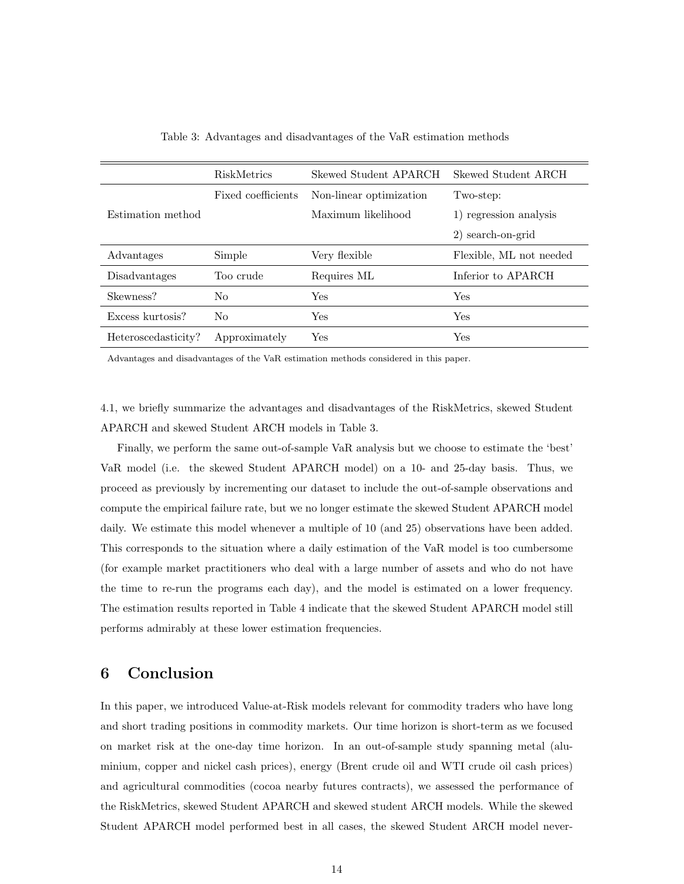|                     | <b>RiskMetrics</b> | Skewed Student APARCH   | Skewed Student ARCH     |  |
|---------------------|--------------------|-------------------------|-------------------------|--|
|                     | Fixed coefficients | Non-linear optimization | Two-step:               |  |
| Estimation method   |                    | Maximum likelihood      | 1) regression analysis  |  |
|                     |                    |                         | 2) search-on-grid       |  |
| Advantages          | Simple             | Very flexible           | Flexible, ML not needed |  |
| Disadvantages       | Too crude          | Requires ML             | Inferior to APARCH      |  |
| Skewness?           | No                 | Yes                     | Yes                     |  |
| Excess kurtosis?    | N <sub>0</sub>     | Yes                     | Yes                     |  |
| Heteroscedasticity? | Approximately      | Yes                     | Yes                     |  |

Table 3: Advantages and disadvantages of the VaR estimation methods

Advantages and disadvantages of the VaR estimation methods considered in this paper.

4.1, we briefly summarize the advantages and disadvantages of the RiskMetrics, skewed Student APARCH and skewed Student ARCH models in Table 3.

Finally, we perform the same out-of-sample VaR analysis but we choose to estimate the 'best' VaR model (i.e. the skewed Student APARCH model) on a 10- and 25-day basis. Thus, we proceed as previously by incrementing our dataset to include the out-of-sample observations and compute the empirical failure rate, but we no longer estimate the skewed Student APARCH model daily. We estimate this model whenever a multiple of 10 (and 25) observations have been added. This corresponds to the situation where a daily estimation of the VaR model is too cumbersome (for example market practitioners who deal with a large number of assets and who do not have the time to re-run the programs each day), and the model is estimated on a lower frequency. The estimation results reported in Table 4 indicate that the skewed Student APARCH model still performs admirably at these lower estimation frequencies.

### 6 Conclusion

In this paper, we introduced Value-at-Risk models relevant for commodity traders who have long and short trading positions in commodity markets. Our time horizon is short-term as we focused on market risk at the one-day time horizon. In an out-of-sample study spanning metal (aluminium, copper and nickel cash prices), energy (Brent crude oil and WTI crude oil cash prices) and agricultural commodities (cocoa nearby futures contracts), we assessed the performance of the RiskMetrics, skewed Student APARCH and skewed student ARCH models. While the skewed Student APARCH model performed best in all cases, the skewed Student ARCH model never-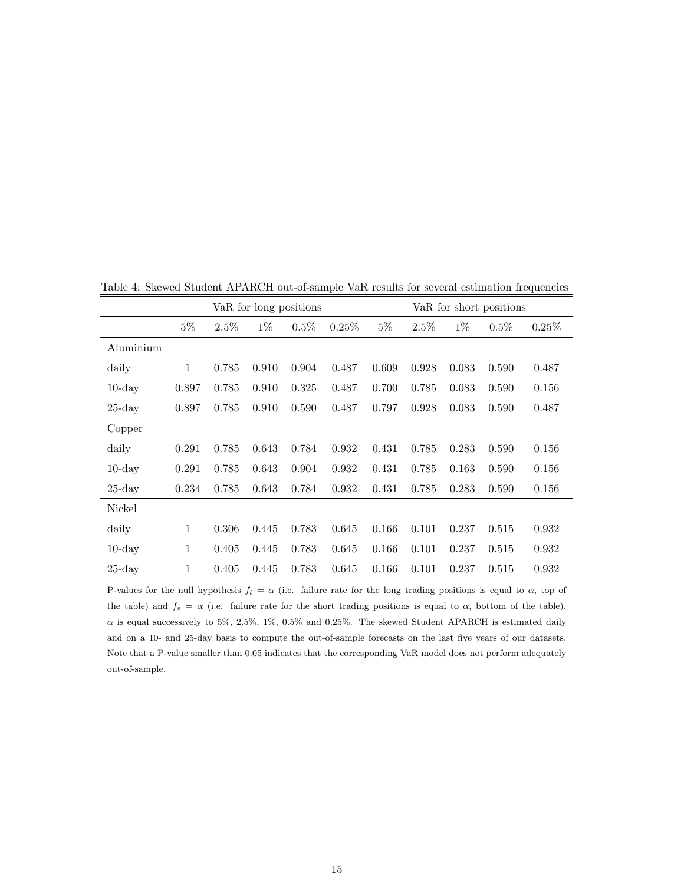|           | VaR for long positions |       |       |       |          | VaR for short positions |       |       |         |          |  |
|-----------|------------------------|-------|-------|-------|----------|-------------------------|-------|-------|---------|----------|--|
|           | $5\%$                  | 2.5%  | $1\%$ | 0.5%  | $0.25\%$ | $5\%$                   | 2.5%  | $1\%$ | $0.5\%$ | $0.25\%$ |  |
| Aluminium |                        |       |       |       |          |                         |       |       |         |          |  |
| daily     | $\mathbf{1}$           | 0.785 | 0.910 | 0.904 | 0.487    | 0.609                   | 0.928 | 0.083 | 0.590   | 0.487    |  |
| $10$ -day | 0.897                  | 0.785 | 0.910 | 0.325 | 0.487    | 0.700                   | 0.785 | 0.083 | 0.590   | 0.156    |  |
| $25$ -day | 0.897                  | 0.785 | 0.910 | 0.590 | 0.487    | 0.797                   | 0.928 | 0.083 | 0.590   | 0.487    |  |
| Copper    |                        |       |       |       |          |                         |       |       |         |          |  |
| daily     | 0.291                  | 0.785 | 0.643 | 0.784 | 0.932    | 0.431                   | 0.785 | 0.283 | 0.590   | 0.156    |  |
| $10$ -day | 0.291                  | 0.785 | 0.643 | 0.904 | 0.932    | 0.431                   | 0.785 | 0.163 | 0.590   | 0.156    |  |
| $25$ -day | 0.234                  | 0.785 | 0.643 | 0.784 | 0.932    | 0.431                   | 0.785 | 0.283 | 0.590   | 0.156    |  |
| Nickel    |                        |       |       |       |          |                         |       |       |         |          |  |
| daily     | $\mathbf{1}$           | 0.306 | 0.445 | 0.783 | 0.645    | 0.166                   | 0.101 | 0.237 | 0.515   | 0.932    |  |
| $10$ -day | 1                      | 0.405 | 0.445 | 0.783 | 0.645    | 0.166                   | 0.101 | 0.237 | 0.515   | 0.932    |  |
| $25$ -dav | $\mathbf{1}$           | 0.405 | 0.445 | 0.783 | 0.645    | 0.166                   | 0.101 | 0.237 | 0.515   | 0.932    |  |

Table 4: Skewed Student APARCH out-of-sample VaR results for several estimation frequencies

P-values for the null hypothesis  $f_l = \alpha$  (i.e. failure rate for the long trading positions is equal to  $\alpha$ , top of the table) and  $f_s = \alpha$  (i.e. failure rate for the short trading positions is equal to  $\alpha$ , bottom of the table).  $\alpha$  is equal successively to 5%, 2.5%, 1%, 0.5% and 0.25%. The skewed Student APARCH is estimated daily and on a 10- and 25-day basis to compute the out-of-sample forecasts on the last five years of our datasets. Note that a P-value smaller than 0.05 indicates that the corresponding VaR model does not perform adequately out-of-sample.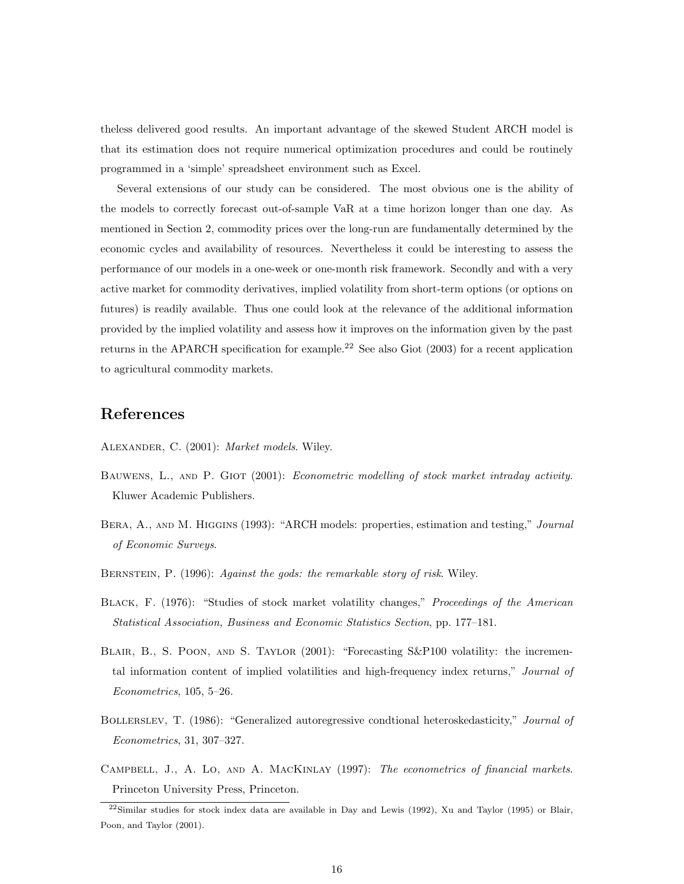theless delivered good results. An important advantage of the skewed Student ARCH model is that its estimation does not require numerical optimization procedures and could be routinely programmed in a 'simple' spreadsheet environment such as Excel.

Several extensions of our study can be considered. The most obvious one is the ability of the models to correctly forecast out-of-sample VaR at a time horizon longer than one day. As mentioned in Section 2, commodity prices over the long-run are fundamentally determined by the economic cycles and availability of resources. Nevertheless it could be interesting to assess the performance of our models in a one-week or one-month risk framework. Secondly and with a very active market for commodity derivatives, implied volatility from short-term options (or options on futures) is readily available. Thus one could look at the relevance of the additional information provided by the implied volatility and assess how it improves on the information given by the past returns in the APARCH specification for example.<sup>22</sup> See also Giot  $(2003)$  for a recent application to agricultural commodity markets.

## References

ALEXANDER, C. (2001): Market models. Wiley.

- BAUWENS, L., AND P. GIOT (2001): *Econometric modelling of stock market intraday activity.* Kluwer Academic Publishers.
- BERA, A., AND M. HIGGINS (1993): "ARCH models: properties, estimation and testing," Journal of Economic Surveys.
- BERNSTEIN, P. (1996): Against the gods: the remarkable story of risk. Wiley.
- BLACK, F. (1976): "Studies of stock market volatility changes," Proceedings of the American Statistical Association, Business and Economic Statistics Section, pp. 177–181.
- BLAIR, B., S. POON, AND S. TAYLOR (2001): "Forecasting S&P100 volatility: the incremental information content of implied volatilities and high-frequency index returns," Journal of Econometrics, 105, 5–26.
- Bollerslev, T. (1986): "Generalized autoregressive condtional heteroskedasticity," Journal of Econometrics, 31, 307–327.
- CAMPBELL, J., A. LO, AND A. MACKINLAY (1997): The econometrics of financial markets. Princeton University Press, Princeton.

<sup>22</sup>Similar studies for stock index data are available in Day and Lewis (1992), Xu and Taylor (1995) or Blair, Poon, and Taylor (2001).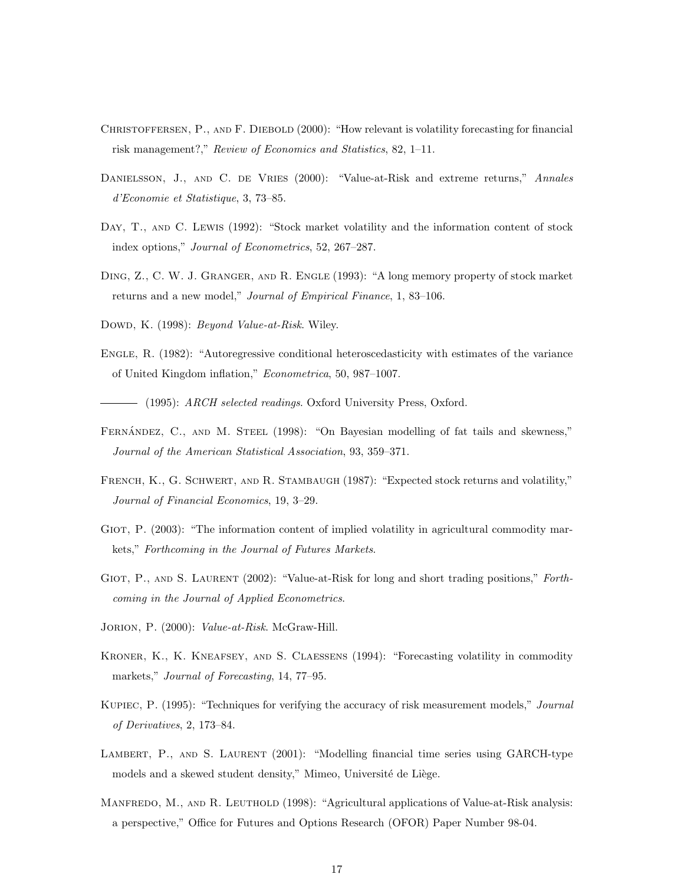- CHRISTOFFERSEN, P., AND F. DIEBOLD (2000): "How relevant is volatility forecasting for financial risk management?," Review of Economics and Statistics, 82, 1–11.
- DANIELSSON, J., AND C. DE VRIES (2000): "Value-at-Risk and extreme returns," Annales d'Economie et Statistique, 3, 73–85.
- DAY, T., AND C. LEWIS (1992): "Stock market volatility and the information content of stock index options," Journal of Econometrics, 52, 267–287.
- Ding, Z., C. W. J. Granger, and R. Engle (1993): "A long memory property of stock market returns and a new model," Journal of Empirical Finance, 1, 83–106.
- Down, K. (1998): Beyond Value-at-Risk. Wiley.
- Engle, R. (1982): "Autoregressive conditional heteroscedasticity with estimates of the variance of United Kingdom inflation," Econometrica, 50, 987–1007.

(1995): ARCH selected readings. Oxford University Press, Oxford.

- FERNÁNDEZ, C., AND M. STEEL (1998): "On Bayesian modelling of fat tails and skewness," Journal of the American Statistical Association, 93, 359–371.
- FRENCH, K., G. SCHWERT, AND R. STAMBAUGH (1987): "Expected stock returns and volatility," Journal of Financial Economics, 19, 3–29.
- GIOT, P. (2003): "The information content of implied volatility in agricultural commodity markets," Forthcoming in the Journal of Futures Markets.
- GIOT, P., AND S. LAURENT (2002): "Value-at-Risk for long and short trading positions," Forthcoming in the Journal of Applied Econometrics.
- JORION, P. (2000): Value-at-Risk. McGraw-Hill.
- Kroner, K., K. Kneafsey, and S. Claessens (1994): "Forecasting volatility in commodity markets," Journal of Forecasting, 14, 77–95.
- Kupiec, P. (1995): "Techniques for verifying the accuracy of risk measurement models," Journal of Derivatives, 2, 173–84.
- LAMBERT, P., AND S. LAURENT (2001): "Modelling financial time series using GARCH-type models and a skewed student density," Mimeo, Université de Liège.
- MANFREDO, M., AND R. LEUTHOLD (1998): "Agricultural applications of Value-at-Risk analysis: a perspective," Office for Futures and Options Research (OFOR) Paper Number 98-04.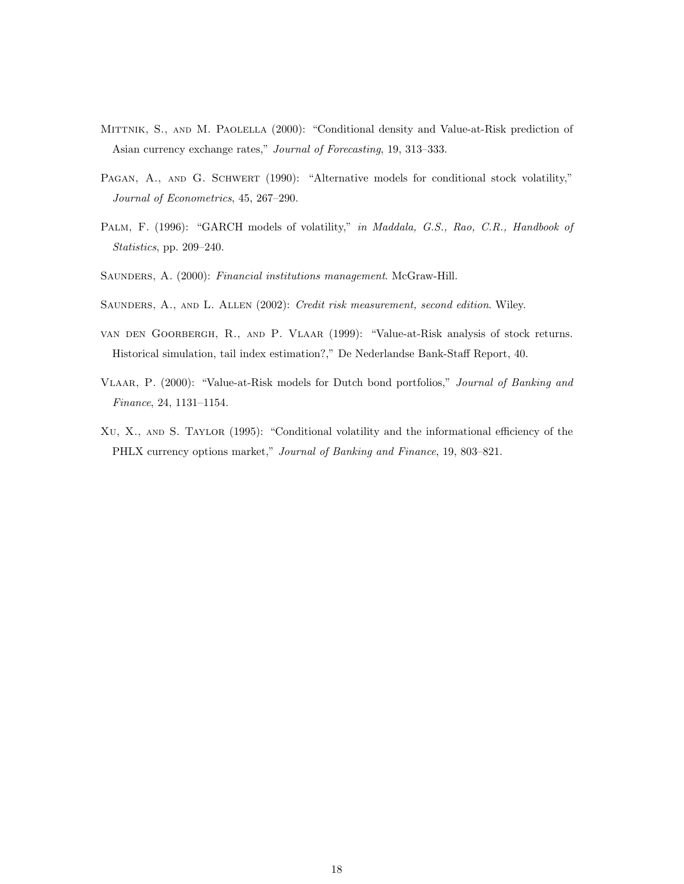- MITTNIK, S., AND M. PAOLELLA (2000): "Conditional density and Value-at-Risk prediction of Asian currency exchange rates," Journal of Forecasting, 19, 313–333.
- PAGAN, A., AND G. SCHWERT (1990): "Alternative models for conditional stock volatility," Journal of Econometrics, 45, 267–290.
- PALM, F. (1996): "GARCH models of volatility," in Maddala, G.S., Rao, C.R., Handbook of Statistics, pp. 209–240.
- SAUNDERS, A. (2000): Financial institutions management. McGraw-Hill.
- SAUNDERS, A., AND L. ALLEN (2002): Credit risk measurement, second edition. Wiley.
- van den Goorbergh, R., and P. Vlaar (1999): "Value-at-Risk analysis of stock returns. Historical simulation, tail index estimation?," De Nederlandse Bank-Staff Report, 40.
- Vlaar, P. (2000): "Value-at-Risk models for Dutch bond portfolios," Journal of Banking and Finance, 24, 1131–1154.
- Xu, X., and S. Taylor (1995): "Conditional volatility and the informational efficiency of the PHLX currency options market," Journal of Banking and Finance, 19, 803-821.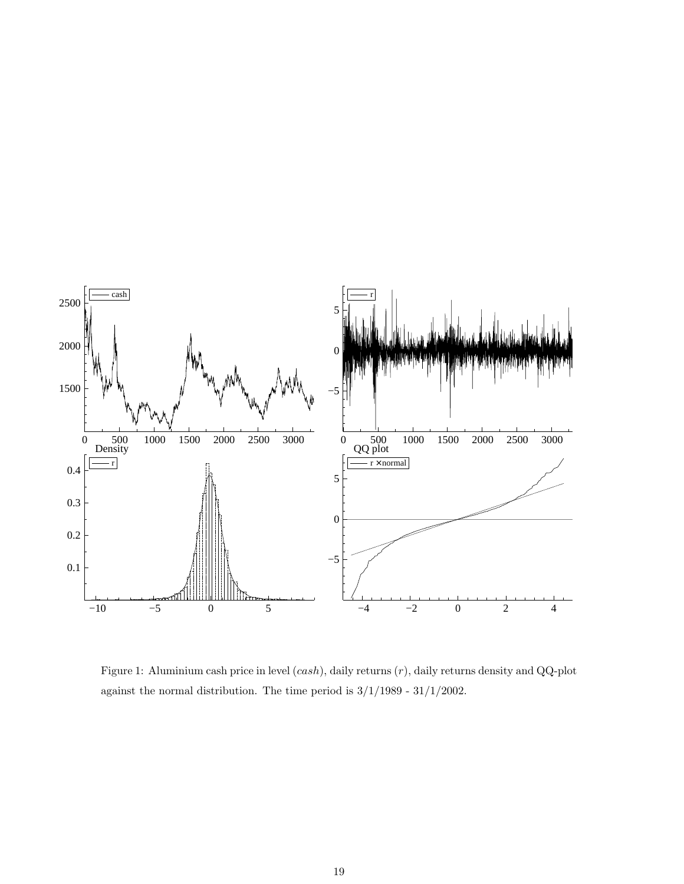

Figure 1: Aluminium cash price in level  $(cash)$ , daily returns  $(r)$ , daily returns density and QQ-plot against the normal distribution. The time period is 3/1/1989 - 31/1/2002.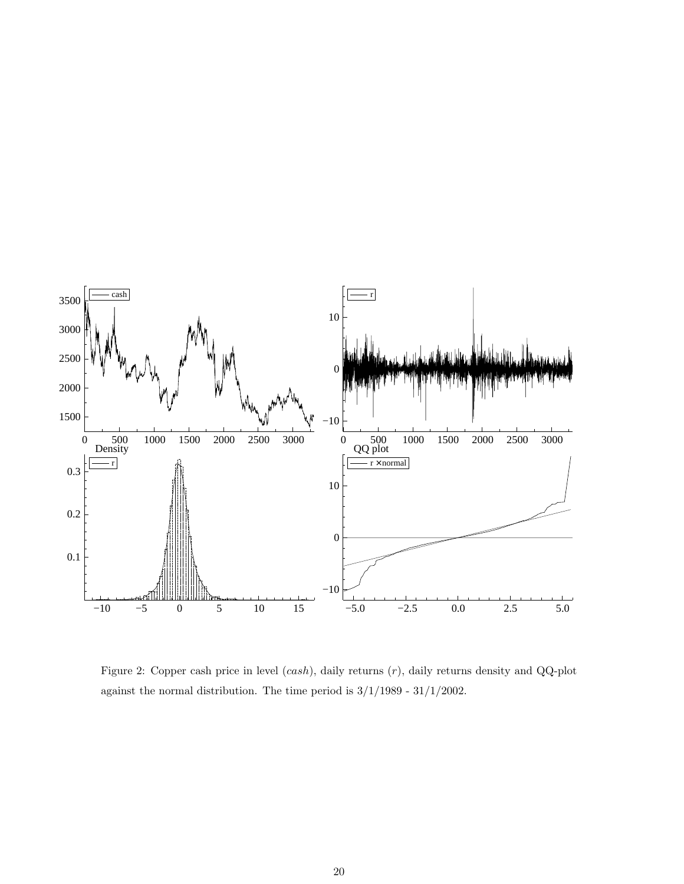

Figure 2: Copper cash price in level  $(cash)$ , daily returns (r), daily returns density and QQ-plot against the normal distribution. The time period is 3/1/1989 - 31/1/2002.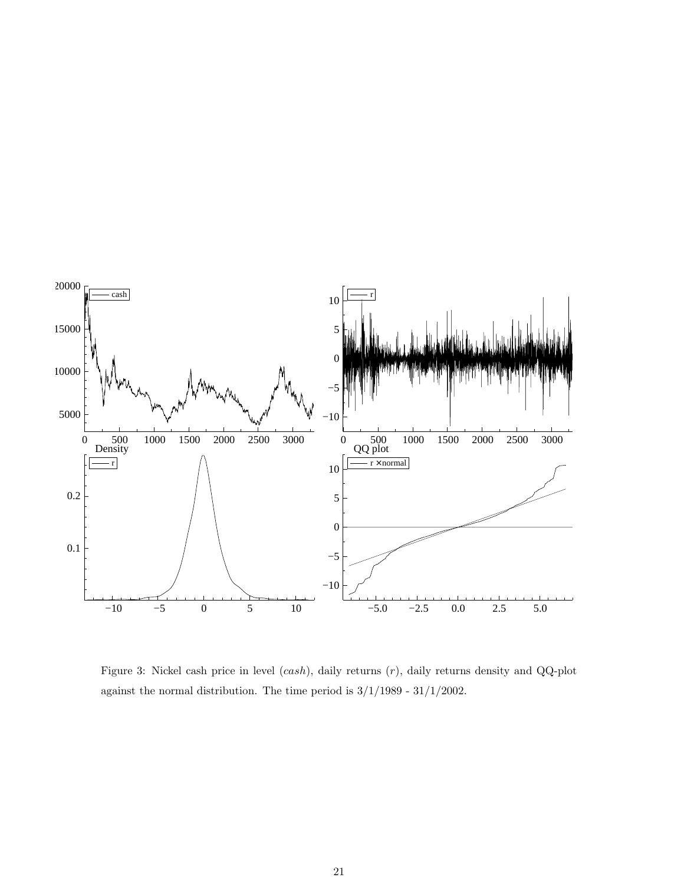

Figure 3: Nickel cash price in level  $(cash)$ , daily returns  $(r)$ , daily returns density and QQ-plot against the normal distribution. The time period is 3/1/1989 - 31/1/2002.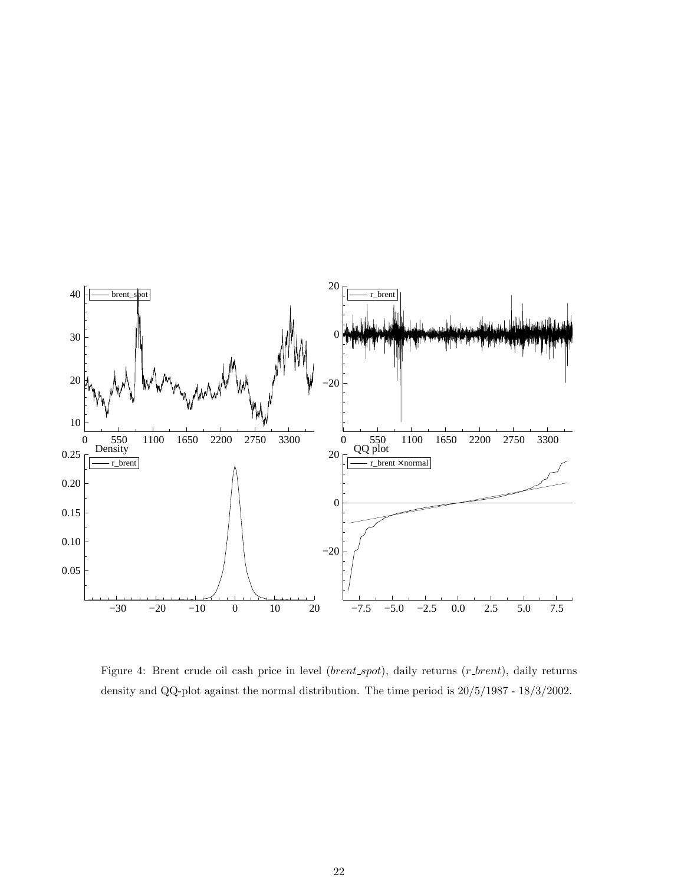

Figure 4: Brent crude oil cash price in level (brent\_spot), daily returns (r\_brent), daily returns density and QQ-plot against the normal distribution. The time period is 20/5/1987 - 18/3/2002.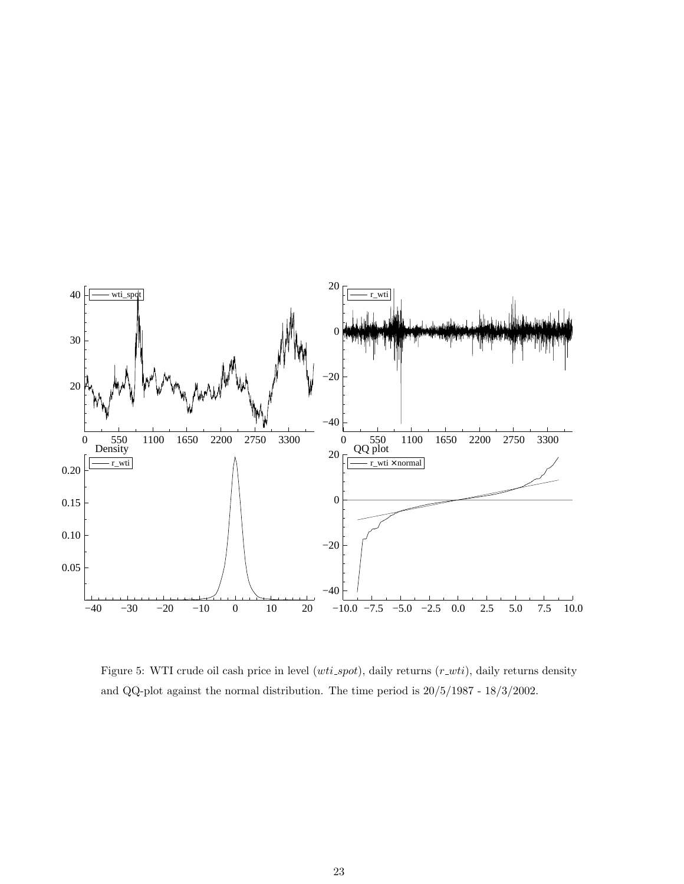

Figure 5: WTI crude oil cash price in level ( $wti$ -spot), daily returns (r-wti), daily returns density and QQ-plot against the normal distribution. The time period is  $20/5/1987$  -  $18/3/2002.$